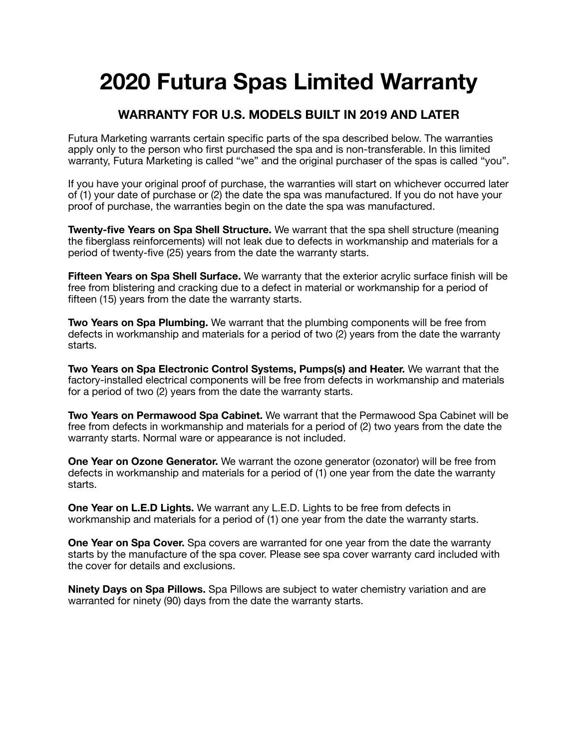# **2020 Futura Spas Limited Warranty**

## **WARRANTY FOR U.S. MODELS BUILT IN 2019 AND LATER**

Futura Marketing warrants certain specific parts of the spa described below. The warranties apply only to the person who first purchased the spa and is non-transferable. In this limited warranty, Futura Marketing is called "we" and the original purchaser of the spas is called "you".

If you have your original proof of purchase, the warranties will start on whichever occurred later of (1) your date of purchase or (2) the date the spa was manufactured. If you do not have your proof of purchase, the warranties begin on the date the spa was manufactured.

**Twenty-five Years on Spa Shell Structure.** We warrant that the spa shell structure (meaning the fiberglass reinforcements) will not leak due to defects in workmanship and materials for a period of twenty-five (25) years from the date the warranty starts.

**Fifteen Years on Spa Shell Surface.** We warranty that the exterior acrylic surface finish will be free from blistering and cracking due to a defect in material or workmanship for a period of fifteen (15) years from the date the warranty starts.

**Two Years on Spa Plumbing.** We warrant that the plumbing components will be free from defects in workmanship and materials for a period of two (2) years from the date the warranty starts.

**Two Years on Spa Electronic Control Systems, Pumps(s) and Heater.** We warrant that the factory-installed electrical components will be free from defects in workmanship and materials for a period of two (2) years from the date the warranty starts.

**Two Years on Permawood Spa Cabinet.** We warrant that the Permawood Spa Cabinet will be free from defects in workmanship and materials for a period of (2) two years from the date the warranty starts. Normal ware or appearance is not included.

**One Year on Ozone Generator.** We warrant the ozone generator (ozonator) will be free from defects in workmanship and materials for a period of (1) one year from the date the warranty starts.

**One Year on L.E.D Lights.** We warrant any L.E.D. Lights to be free from defects in workmanship and materials for a period of (1) one year from the date the warranty starts.

**One Year on Spa Cover.** Spa covers are warranted for one year from the date the warranty starts by the manufacture of the spa cover. Please see spa cover warranty card included with the cover for details and exclusions.

**Ninety Days on Spa Pillows.** Spa Pillows are subject to water chemistry variation and are warranted for ninety (90) days from the date the warranty starts.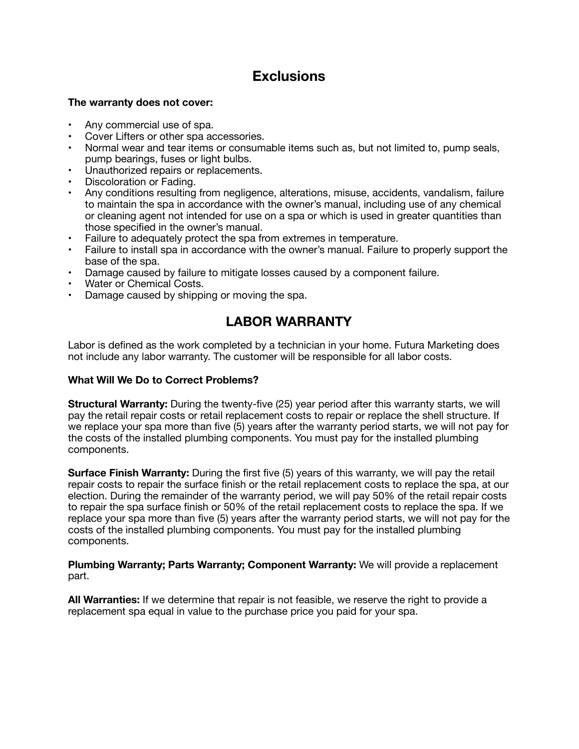## **Exclusions**

#### **The warranty does not cover:**

- Any commercial use of spa.
- Cover Lifters or other spa accessories.
- Normal wear and tear items or consumable items such as, but not limited to, pump seals, pump bearings, fuses or light bulbs.
- Unauthorized repairs or replacements.
- Discoloration or Fading.
- Any conditions resulting from negligence, alterations, misuse, accidents, vandalism, failure to maintain the spa in accordance with the owner's manual, including use of any chemical or cleaning agent not intended for use on a spa or which is used in greater quantities than those specified in the owner's manual.
- Failure to adequately protect the spa from extremes in temperature.
- Failure to install spa in accordance with the owner's manual. Failure to properly support the base of the spa.
- Damage caused by failure to mitigate losses caused by a component failure.
- Water or Chemical Costs.
- Damage caused by shipping or moving the spa.

## **LABOR WARRANTY**

Labor is defined as the work completed by a technician in your home. Futura Marketing does not include any labor warranty. The customer will be responsible for all labor costs.

#### **What Will We Do to Correct Problems?**

**Structural Warranty:** During the twenty-five (25) year period after this warranty starts, we will pay the retail repair costs or retail replacement costs to repair or replace the shell structure. If we replace your spa more than five (5) years after the warranty period starts, we will not pay for the costs of the installed plumbing components. You must pay for the installed plumbing components.

**Surface Finish Warranty:** During the first five (5) years of this warranty, we will pay the retail repair costs to repair the surface finish or the retail replacement costs to replace the spa, at our election. During the remainder of the warranty period, we will pay 50% of the retail repair costs to repair the spa surface finish or 50% of the retail replacement costs to replace the spa. If we replace your spa more than five (5) years after the warranty period starts, we will not pay for the costs of the installed plumbing components. You must pay for the installed plumbing components.

**Plumbing Warranty; Parts Warranty; Component Warranty:** We will provide a replacement part.

**All Warranties:** If we determine that repair is not feasible, we reserve the right to provide a replacement spa equal in value to the purchase price you paid for your spa.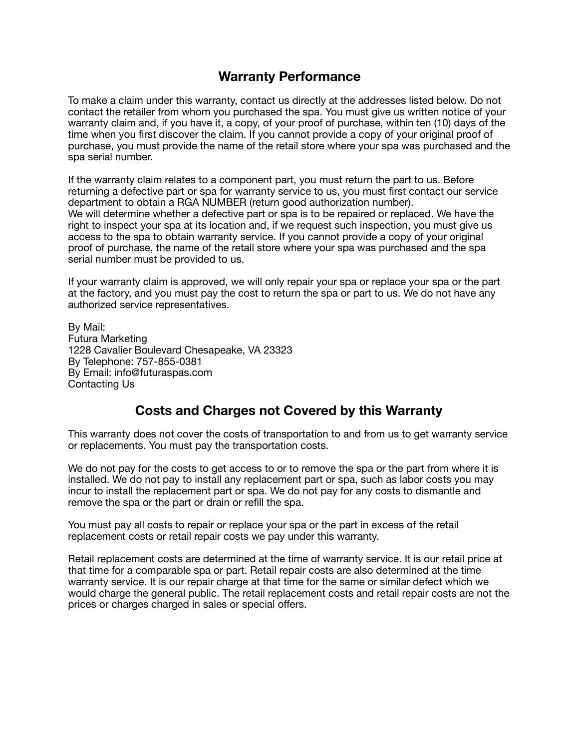### **Warranty Performance**

To make a claim under this warranty, contact us directly at the addresses listed below. Do not contact the retailer from whom you purchased the spa. You must give us written notice of your warranty claim and, if you have it, a copy, of your proof of purchase, within ten (10) days of the time when you first discover the claim. If you cannot provide a copy of your original proof of purchase, you must provide the name of the retail store where your spa was purchased and the spa serial number.

If the warranty claim relates to a component part, you must return the part to us. Before returning a defective part or spa for warranty service to us, you must first contact our service department to obtain a RGA NUMBER (return good authorization number). We will determine whether a defective part or spa is to be repaired or replaced. We have the right to inspect your spa at its location and, if we request such inspection, you must give us access to the spa to obtain warranty service. If you cannot provide a copy of your original proof of purchase, the name of the retail store where your spa was purchased and the spa serial number must be provided to us.

If your warranty claim is approved, we will only repair your spa or replace your spa or the part at the factory, and you must pay the cost to return the spa or part to us. We do not have any authorized service representatives.

By Mail: Futura Marketing 1228 Cavalier Boulevard Chesapeake, VA 23323 By Telephone: 757-855-0381 By Email: info@futuraspas.com Contacting Us

## **Costs and Charges not Covered by this Warranty**

This warranty does not cover the costs of transportation to and from us to get warranty service or replacements. You must pay the transportation costs.

We do not pay for the costs to get access to or to remove the spa or the part from where it is installed. We do not pay to install any replacement part or spa, such as labor costs you may incur to install the replacement part or spa. We do not pay for any costs to dismantle and remove the spa or the part or drain or refill the spa.

You must pay all costs to repair or replace your spa or the part in excess of the retail replacement costs or retail repair costs we pay under this warranty.

Retail replacement costs are determined at the time of warranty service. It is our retail price at that time for a comparable spa or part. Retail repair costs are also determined at the time warranty service. It is our repair charge at that time for the same or similar defect which we would charge the general public. The retail replacement costs and retail repair costs are not the prices or charges charged in sales or special offers.